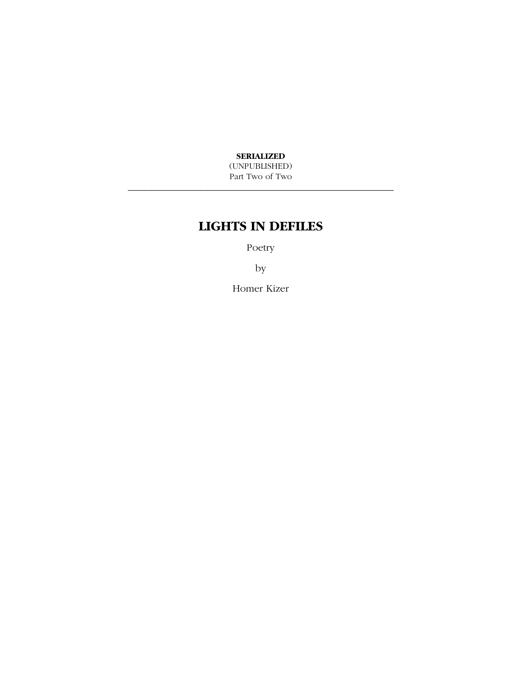**SERIALIZED** 

(UNPUBLISHED) Part Two of Two \_\_\_\_\_\_\_\_\_\_\_\_\_\_\_\_\_\_\_\_\_\_\_\_\_\_\_\_\_\_\_\_\_\_\_\_\_\_\_\_\_\_\_\_\_\_\_\_\_\_\_\_

# **LIGHTS IN DEFILES**

Poetry

by

Homer Kizer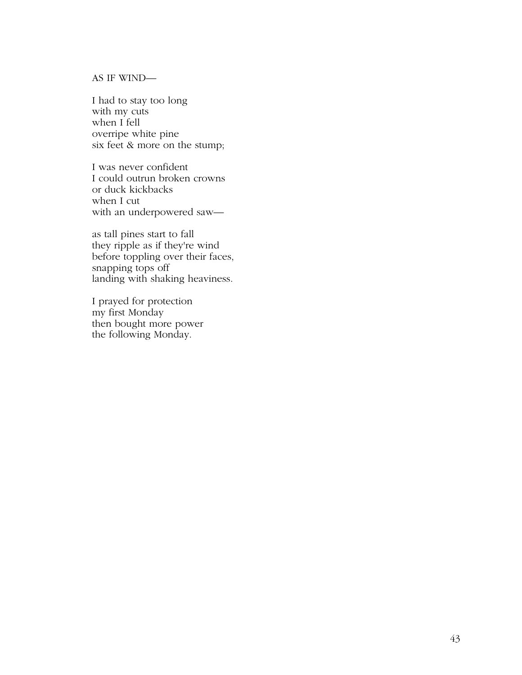#### AS IF WIND—

I had to stay too long with my cuts when I fell overripe white pine six feet & more on the stump;

I was never confident I could outrun broken crowns or duck kickbacks when I cut with an underpowered saw—

as tall pines start to fall they ripple as if they're wind before toppling over their faces, snapping tops off landing with shaking heaviness.

I prayed for protection my first Monday then bought more power the following Monday.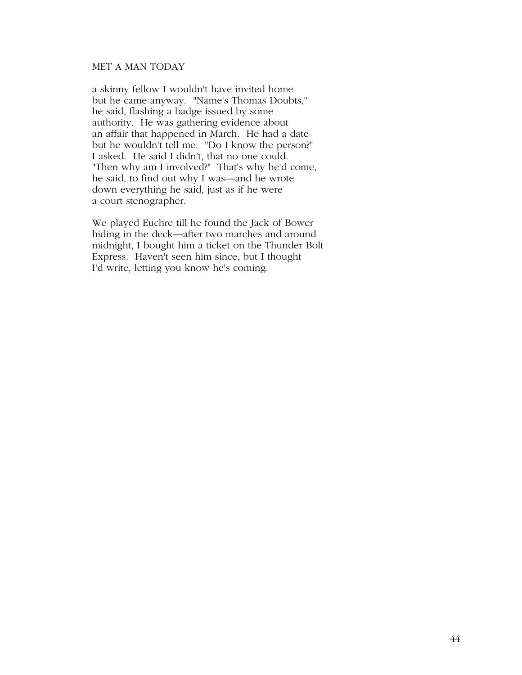# MET A MAN TODAY

a skinny fellow I wouldn't have invited home but he came anyway. "Name's Thomas Doubts," he said, flashing a badge issued by some authority. He was gathering evidence about an affair that happened in March. He had a date but he wouldn't tell me. "Do I know the person?" I asked. He said I didn't, that no one could. "Then why am I involved?" That's why he'd come, he said, to find out why I was—and he wrote down everything he said, just as if he were a court stenographer.

We played Euchre till he found the Jack of Bower hiding in the deck—after two marches and around midnight, I bought him a ticket on the Thunder Bolt Express. Haven't seen him since, but I thought I'd write, letting you know he's coming.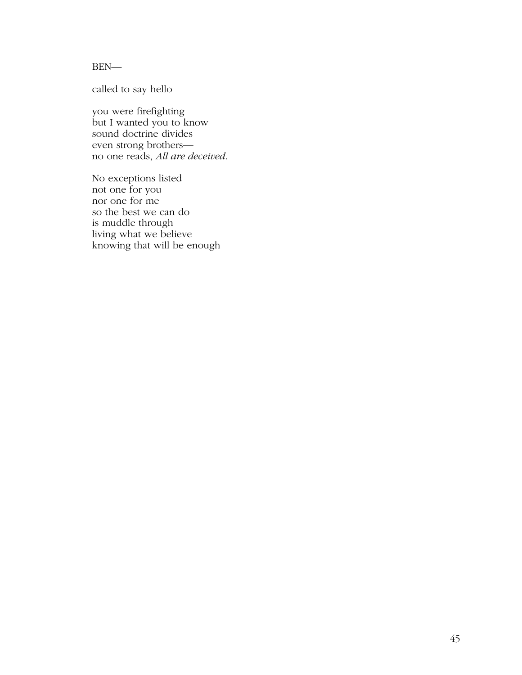BEN—

called to say hello

you were firefighting but I wanted you to know sound doctrine divides even strong brothers no one reads, *All are deceived*.

No exceptions listed not one for you nor one for me so the best we can do is muddle through living what we believe knowing that will be enough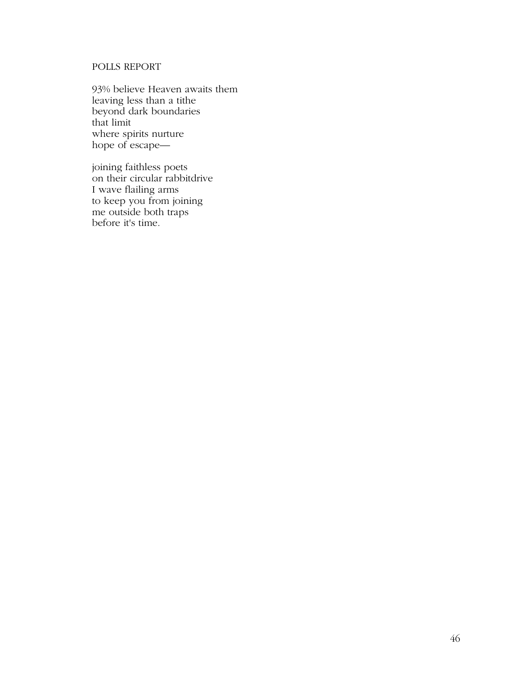# POLLS REPORT

93% believe Heaven awaits them leaving less than a tithe beyond dark boundaries that limit where spirits nurture hope of escape—

joining faithless poets on their circular rabbitdrive I wave flailing arms to keep you from joining me outside both traps before it's time.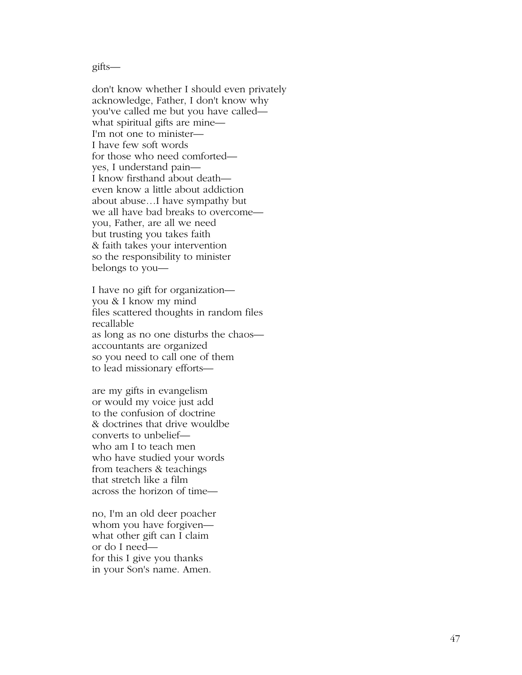gifts—

don't know whether I should even privately acknowledge, Father, I don't know why you've called me but you have called what spiritual gifts are mine— I'm not one to minister— I have few soft words for those who need comforted yes, I understand pain— I know firsthand about death even know a little about addiction about abuse…I have sympathy but we all have bad breaks to overcome you, Father, are all we need but trusting you takes faith & faith takes your intervention so the responsibility to minister belongs to you—

I have no gift for organization you & I know my mind files scattered thoughts in random files recallable as long as no one disturbs the chaos accountants are organized so you need to call one of them to lead missionary efforts—

are my gifts in evangelism or would my voice just add to the confusion of doctrine & doctrines that drive wouldbe converts to unbelief who am I to teach men who have studied your words from teachers & teachings that stretch like a film across the horizon of time—

no, I'm an old deer poacher whom you have forgiven what other gift can I claim or do I need for this I give you thanks in your Son's name. Amen.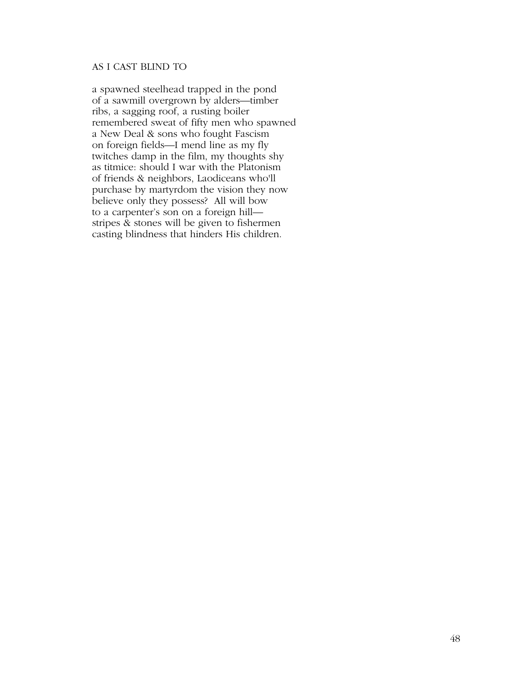# AS I CAST BLIND TO

a spawned steelhead trapped in the pond of a sawmill overgrown by alders—timber ribs, a sagging roof, a rusting boiler remembered sweat of fifty men who spawned a New Deal & sons who fought Fascism on foreign fields—I mend line as my fly twitches damp in the film, my thoughts shy as titmice: should I war with the Platonism of friends & neighbors, Laodiceans who'll purchase by martyrdom the vision they now believe only they possess? All will bow to a carpenter's son on a foreign hill stripes & stones will be given to fishermen casting blindness that hinders His children.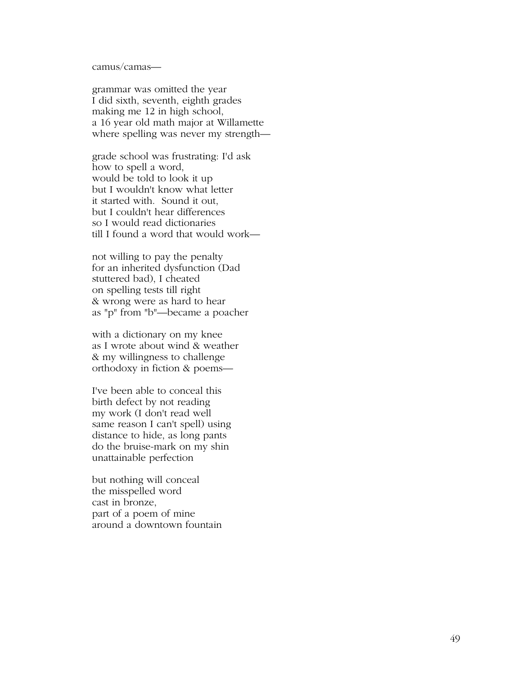camus/camas—

grammar was omitted the year I did sixth, seventh, eighth grades making me 12 in high school, a 16 year old math major at Willamette where spelling was never my strength—

grade school was frustrating: I'd ask how to spell a word, would be told to look it up but I wouldn't know what letter it started with. Sound it out, but I couldn't hear differences so I would read dictionaries till I found a word that would work—

not willing to pay the penalty for an inherited dysfunction (Dad stuttered bad), I cheated on spelling tests till right & wrong were as hard to hear as "p" from "b"—became a poacher

with a dictionary on my knee as I wrote about wind & weather & my willingness to challenge orthodoxy in fiction & poems—

I've been able to conceal this birth defect by not reading my work (I don't read well same reason I can't spell) using distance to hide, as long pants do the bruise-mark on my shin unattainable perfection

but nothing will conceal the misspelled word cast in bronze, part of a poem of mine around a downtown fountain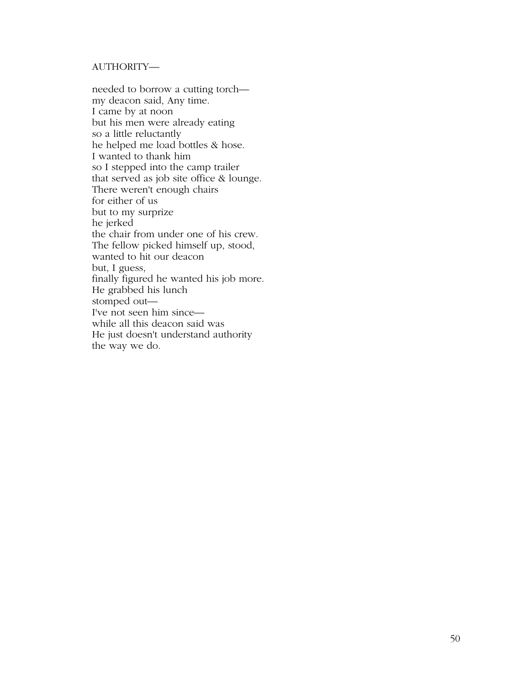# AUTHORITY—

needed to borrow a cutting torch my deacon said, Any time. I came by at noon but his men were already eating so a little reluctantly he helped me load bottles & hose. I wanted to thank him so I stepped into the camp trailer that served as job site office & lounge. There weren't enough chairs for either of us but to my surprize he jerked the chair from under one of his crew. The fellow picked himself up, stood, wanted to hit our deacon but, I guess, finally figured he wanted his job more. He grabbed his lunch stomped out— I've not seen him since while all this deacon said was He just doesn't understand authority the way we do.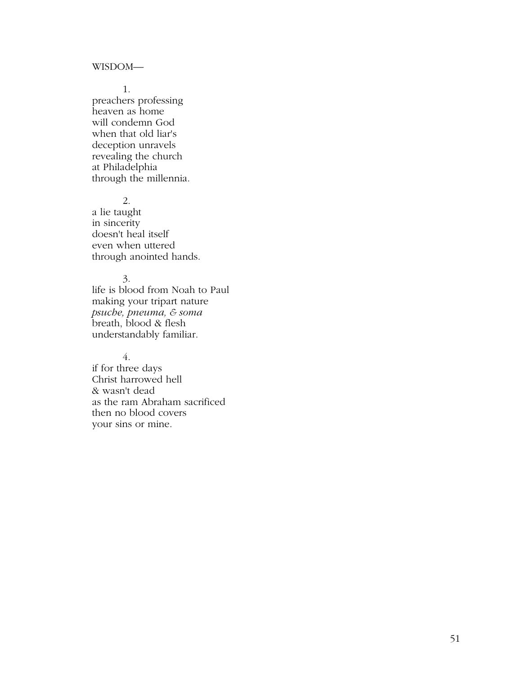#### WISDOM—

1.

preachers professing heaven as home will condemn God when that old liar's deception unravels revealing the church at Philadelphia through the millennia.

2.

a lie taught in sincerity doesn't heal itself even when uttered through anointed hands.

## 3.

life is blood from Noah to Paul making your tripart nature *psuche, pneuma, & soma*  breath, blood & flesh understandably familiar.

# 4.

if for three days Christ harrowed hell & wasn't dead as the ram Abraham sacrificed then no blood covers your sins or mine.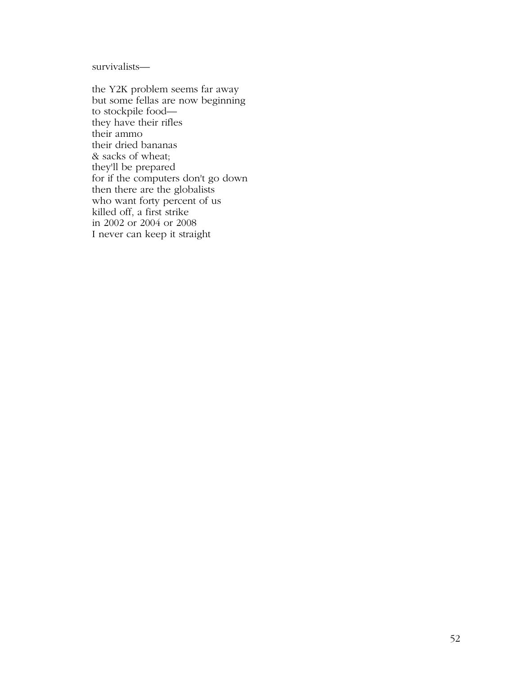survivalists—

the Y2K problem seems far away but some fellas are now beginning to stockpile food they have their rifles their ammo their dried bananas & sacks of wheat; they'll be prepared for if the computers don't go down then there are the globalists who want forty percent of us killed off, a first strike in 2002 or 2004 or 2008 I never can keep it straight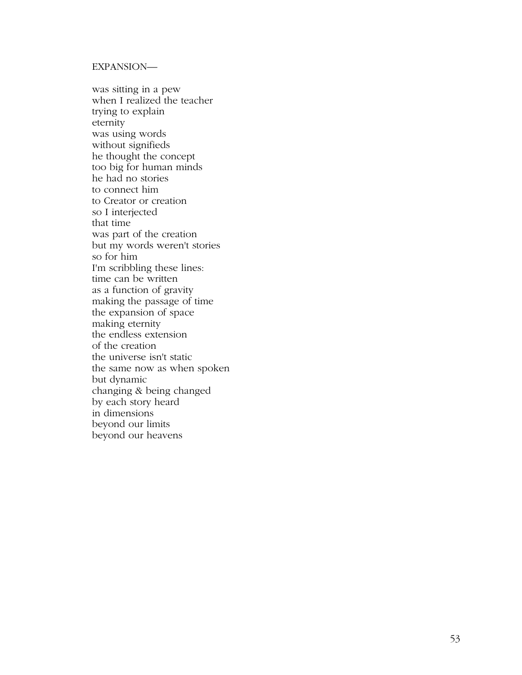# EXPANSION—

was sitting in a pew when I realized the teacher trying to explain eternity was using words without signifieds he thought the concept too big for human minds he had no stories to connect him to Creator or creation so I interjected that time was part of the creation but my words weren't stories so for him I'm scribbling these lines: time can be written as a function of gravity making the passage of time the expansion of space making eternity the endless extension of the creation the universe isn't static the same now as when spoken but dynamic changing & being changed by each story heard in dimensions beyond our limits beyond our heavens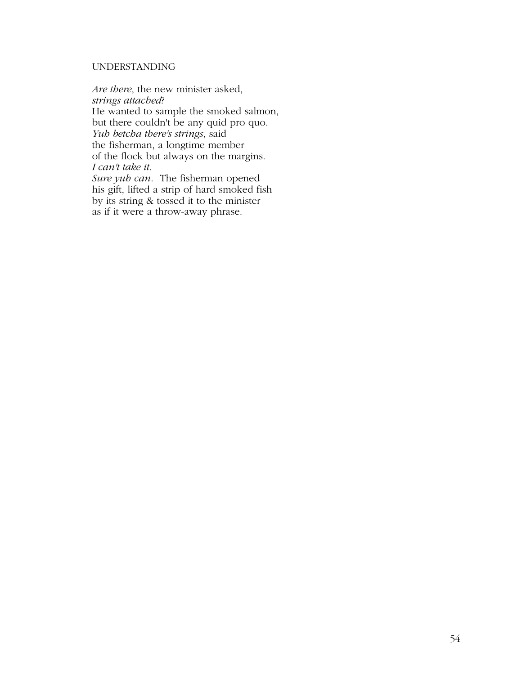## UNDERSTANDING

*Are there*, the new minister asked, *strings attached*? He wanted to sample the smoked salmon, but there couldn't be any quid pro quo. *Yuh betcha there's strings*, said the fisherman, a longtime member of the flock but always on the margins. *I can't take it. Sure yuh can*. The fisherman opened

his gift, lifted a strip of hard smoked fish by its string & tossed it to the minister as if it were a throw-away phrase.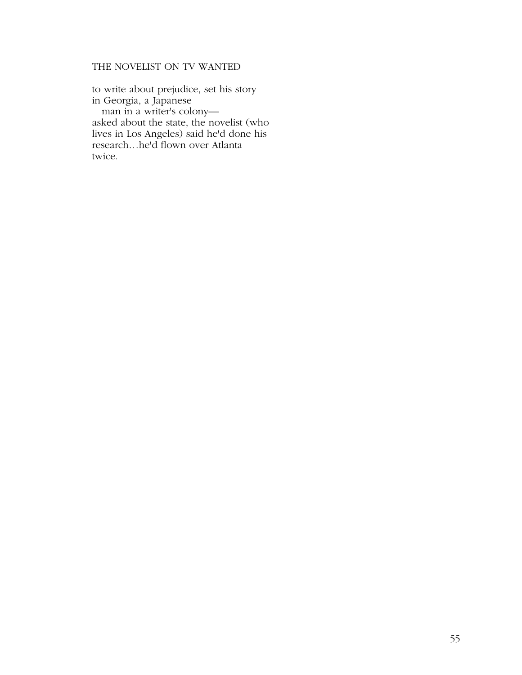# THE NOVELIST ON TV WANTED

to write about prejudice, set his story in Georgia, a Japanese man in a writer's colony asked about the state, the novelist (who lives in Los Angeles) said he'd done his research…he'd flown over Atlanta twice.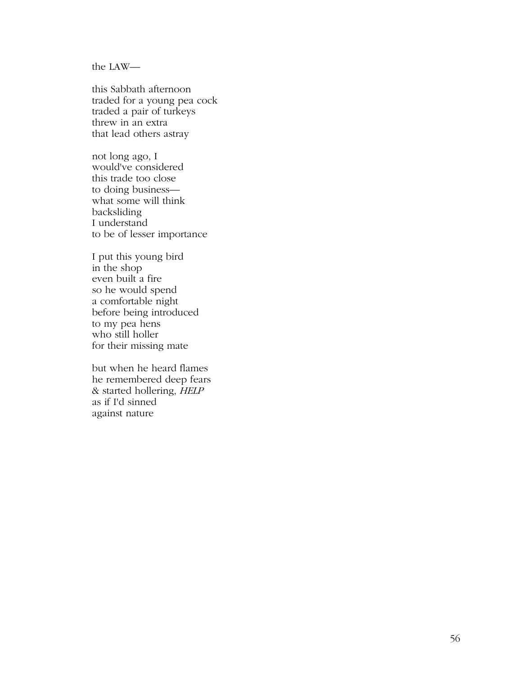the LAW—

this Sabbath afternoon traded for a young pea cock traded a pair of turkeys threw in an extra that lead others astray

not long ago, I would've considered this trade too close to doing business what some will think backsliding I understand to be of lesser importance

I put this young bird in the shop even built a fire so he would spend a comfortable night before being introduced to my pea hens who still holler for their missing mate

but when he heard flames he remembered deep fears & started hollering, *HELP* as if I'd sinned against nature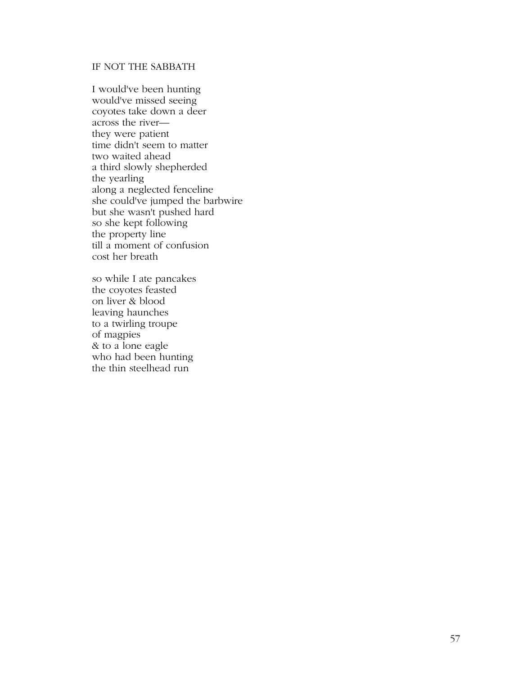# IF NOT THE SABBATH

I would've been hunting would've missed seeing coyotes take down a deer across the river they were patient time didn't seem to matter two waited ahead a third slowly shepherded the yearling along a neglected fenceline she could've jumped the barbwire but she wasn't pushed hard so she kept following the property line till a moment of confusion cost her breath

so while I ate pancakes the coyotes feasted on liver & blood leaving haunches to a twirling troupe of magpies & to a lone eagle who had been hunting the thin steelhead run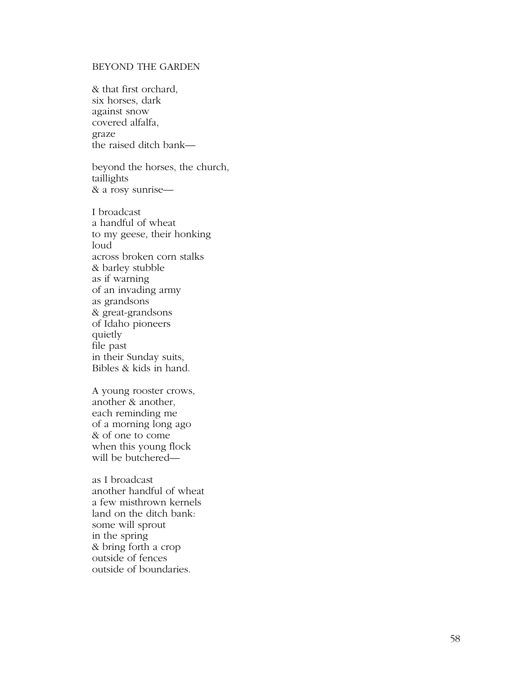# BEYOND THE GARDEN

& that first orchard, six horses, dark against snow covered alfalfa, graze the raised ditch bank—

beyond the horses, the church, taillights & a rosy sunrise—

I broadcast a handful of wheat to my geese, their honking loud across broken corn stalks & barley stubble as if warning of an invading army as grandsons & great-grandsons of Idaho pioneers quietly file past in their Sunday suits, Bibles & kids in hand.

A young rooster crows, another & another, each reminding me of a morning long ago & of one to come when this young flock will be butchered—

as I broadcast another handful of wheat a few misthrown kernels land on the ditch bank: some will sprout in the spring & bring forth a crop outside of fences outside of boundaries.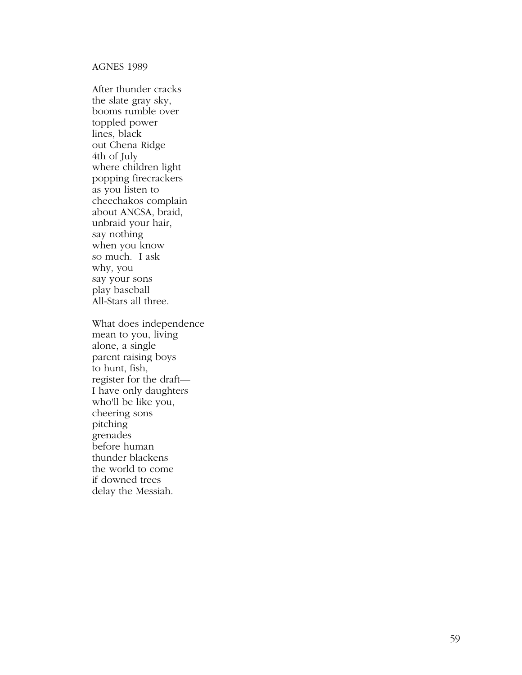# AGNES 1989

After thunder cracks the slate gray sky, booms rumble over toppled power lines, black out Chena Ridge 4th of July where children light popping firecrackers as you listen to cheechakos complain about ANCSA, braid, unbraid your hair, say nothing when you know so much. I ask why, you say your sons play baseball All-Stars all three.

What does independence mean to you, living alone, a single parent raising boys to hunt, fish, register for the draft— I have only daughters who'll be like you, cheering sons pitching grenades before human thunder blackens the world to come if downed trees delay the Messiah.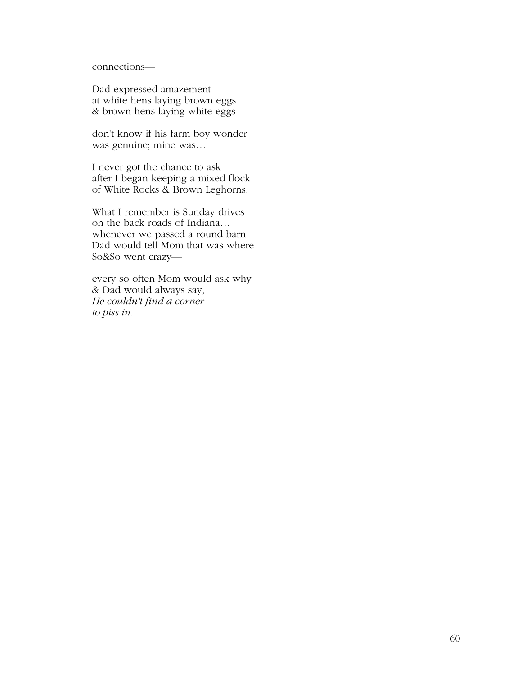connections—

Dad expressed amazement at white hens laying brown eggs & brown hens laying white eggs—

don't know if his farm boy wonder was genuine; mine was…

I never got the chance to ask after I began keeping a mixed flock of White Rocks & Brown Leghorns.

What I remember is Sunday drives on the back roads of Indiana… whenever we passed a round barn Dad would tell Mom that was where So&So went crazy—

every so often Mom would ask why & Dad would always say, *He couldn't find a corner to piss in.*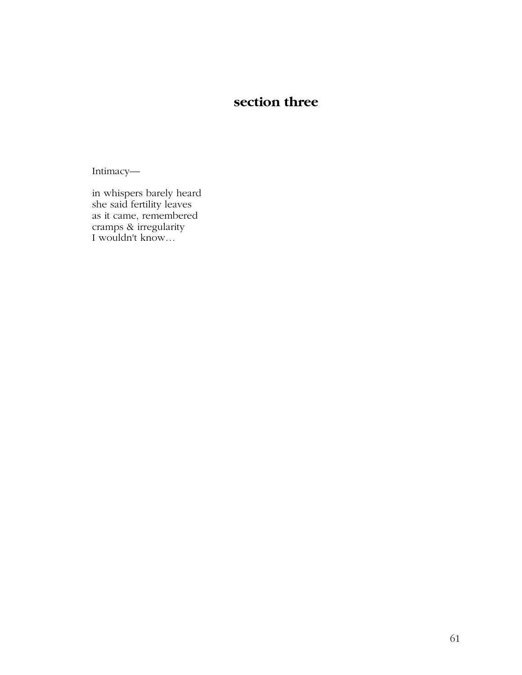# **section three**

Intimacy—

in whispers barely heard she said fertility leaves as it came, remembered cramps & irregularity I wouldn't know…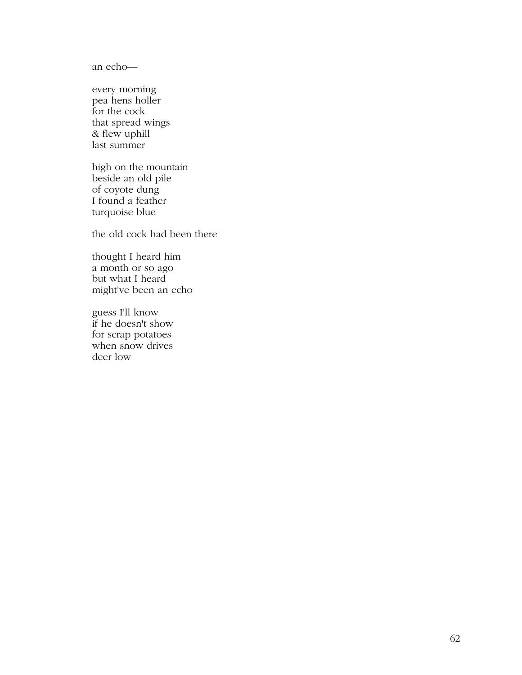an echo—

every morning pea hens holler for the cock that spread wings & flew uphill last summer

high on the mountain beside an old pile of coyote dung I found a feather turquoise blue

the old cock had been there

thought I heard him a month or so ago but what I heard might've been an echo

guess I'll know if he doesn't show for scrap potatoes when snow drives deer low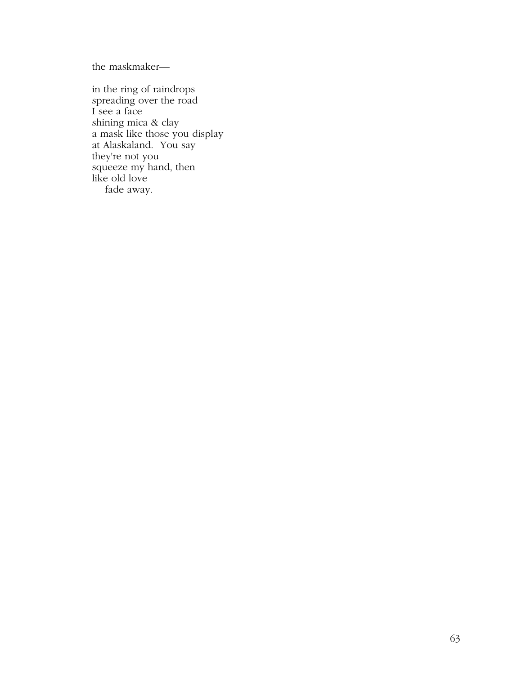the maskmaker—

in the ring of raindrops spreading over the road I see a face shining mica & clay a mask like those you display at Alaskaland. You say they're not you squeeze my hand, then like old love fade away.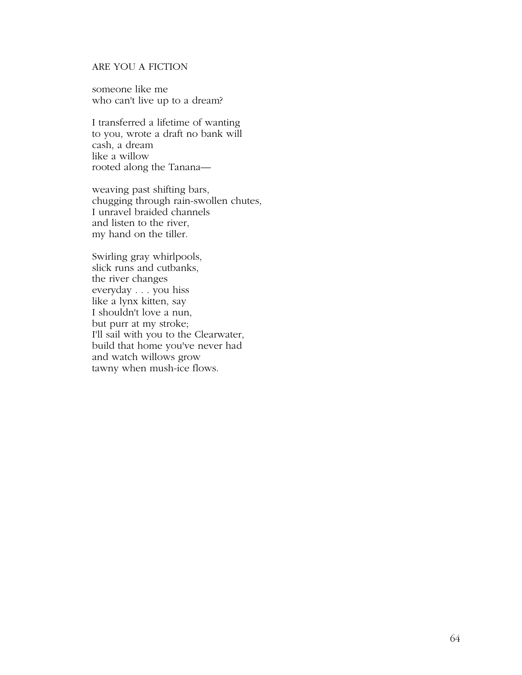# ARE YOU A FICTION

someone like me who can't live up to a dream?

I transferred a lifetime of wanting to you, wrote a draft no bank will cash, a dream like a willow rooted along the Tanana—

weaving past shifting bars, chugging through rain-swollen chutes, I unravel braided channels and listen to the river, my hand on the tiller.

Swirling gray whirlpools, slick runs and cutbanks, the river changes everyday . . . you hiss like a lynx kitten, say I shouldn't love a nun, but purr at my stroke; I'll sail with you to the Clearwater, build that home you've never had and watch willows grow tawny when mush-ice flows.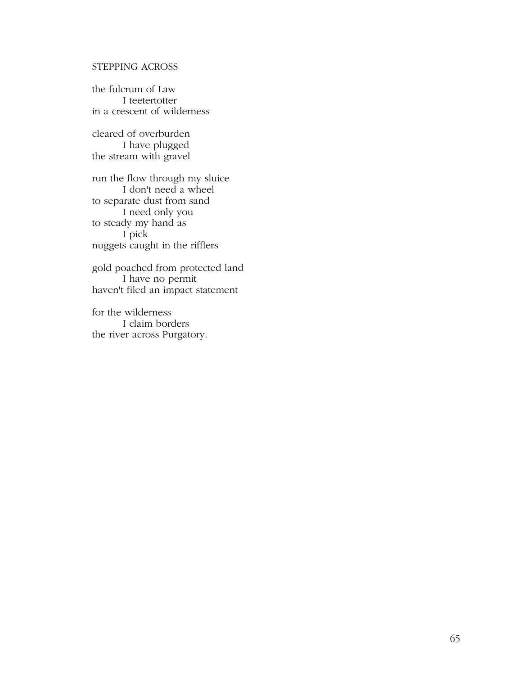# STEPPING ACROSS

the fulcrum of Law I teetertotter in a crescent of wilderness

cleared of overburden I have plugged the stream with gravel

run the flow through my sluice I don't need a wheel to separate dust from sand I need only you to steady my hand as I pick nuggets caught in the rifflers

gold poached from protected land I have no permit haven't filed an impact statement

for the wilderness I claim borders the river across Purgatory.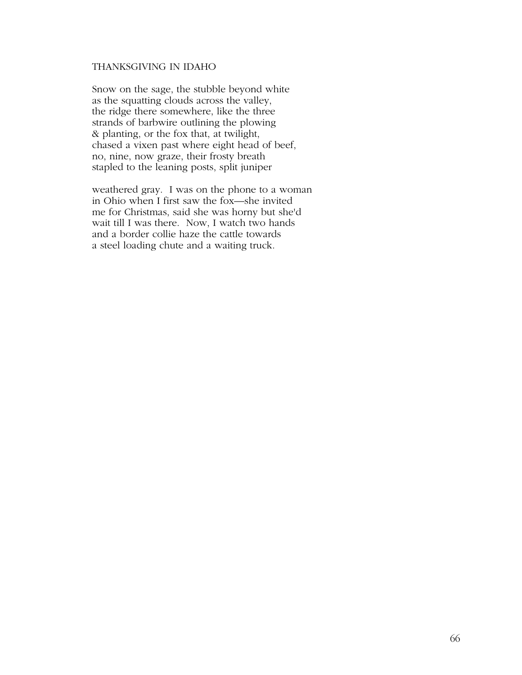# THANKSGIVING IN IDAHO

Snow on the sage, the stubble beyond white as the squatting clouds across the valley, the ridge there somewhere, like the three strands of barbwire outlining the plowing & planting, or the fox that, at twilight, chased a vixen past where eight head of beef, no, nine, now graze, their frosty breath stapled to the leaning posts, split juniper

weathered gray. I was on the phone to a woman in Ohio when I first saw the fox—she invited me for Christmas, said she was horny but she'd wait till I was there. Now, I watch two hands and a border collie haze the cattle towards a steel loading chute and a waiting truck.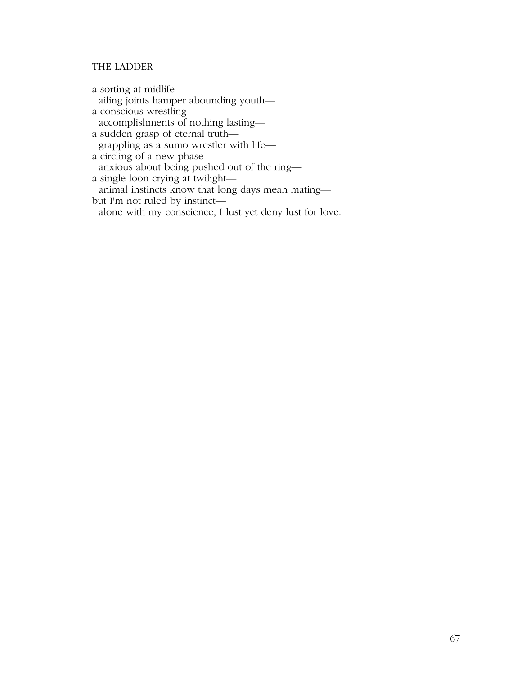# THE LADDER

a sorting at midlife ailing joints hamper abounding youth a conscious wrestling accomplishments of nothing lasting a sudden grasp of eternal truth grappling as a sumo wrestler with life a circling of a new phase anxious about being pushed out of the ring a single loon crying at twilight animal instincts know that long days mean mating but I'm not ruled by instinct alone with my conscience, I lust yet deny lust for love.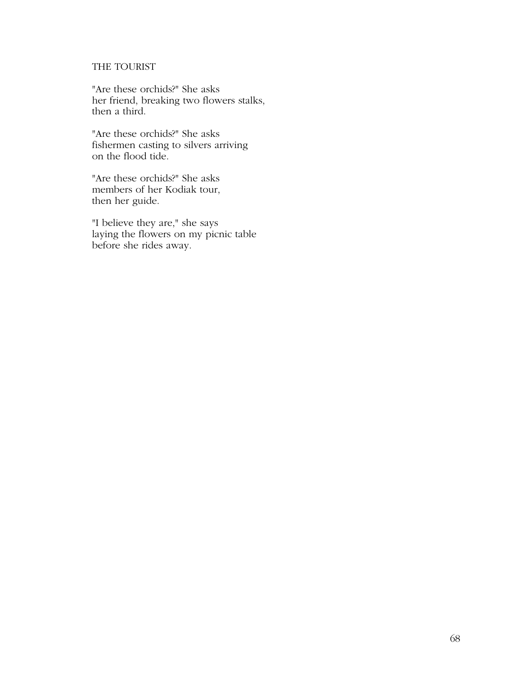# THE TOURIST

"Are these orchids?" She asks her friend, breaking two flowers stalks, then a third.

"Are these orchids?" She asks fishermen casting to silvers arriving on the flood tide.

"Are these orchids?" She asks members of her Kodiak tour, then her guide.

"I believe they are," she says laying the flowers on my picnic table before she rides away.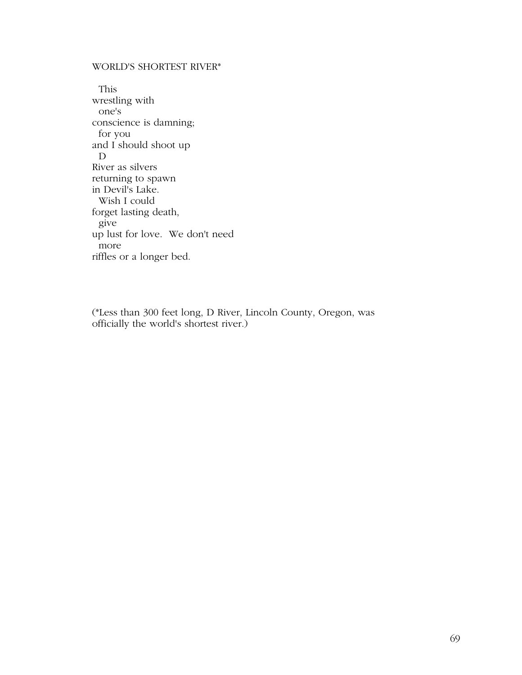# WORLD'S SHORTEST RIVER\*

 This wrestling with one's conscience is damning; for you and I should shoot up D River as silvers returning to spawn in Devil's Lake. Wish I could forget lasting death, give up lust for love. We don't need more riffles or a longer bed.

(\*Less than 300 feet long, D River, Lincoln County, Oregon, was officially the world's shortest river.)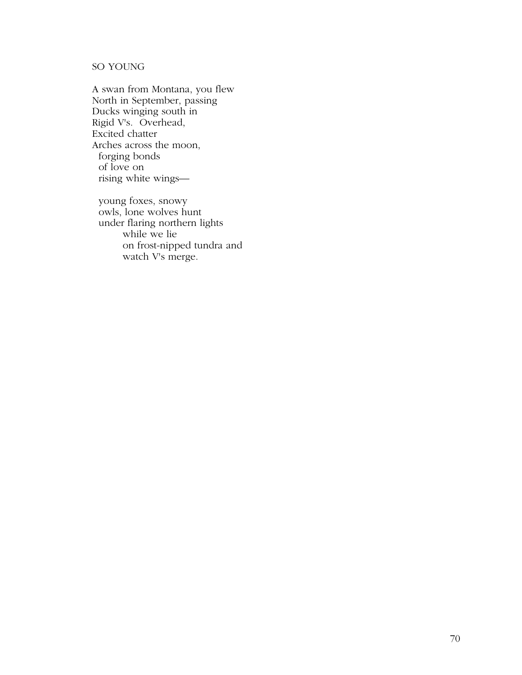# SO YOUNG

A swan from Montana, you flew North in September, passing Ducks winging south in Rigid V's. Overhead, Excited chatter Arches across the moon, forging bonds of love on rising white wings—

 young foxes, snowy owls, lone wolves hunt under flaring northern lights while we lie on frost-nipped tundra and watch V's merge.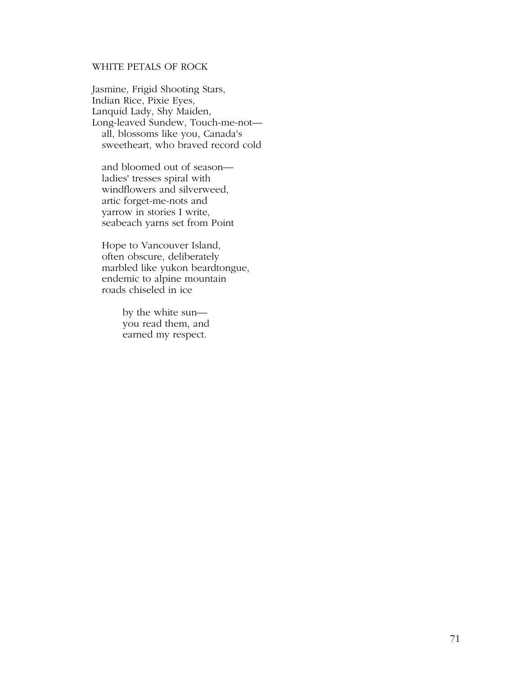# WHITE PETALS OF ROCK

Jasmine, Frigid Shooting Stars, Indian Rice, Pixie Eyes, Lanquid Lady, Shy Maiden, Long-leaved Sundew, Touch-me-not all, blossoms like you, Canada's sweetheart, who braved record cold

 and bloomed out of season ladies' tresses spiral with windflowers and silverweed, artic forget-me-nots and yarrow in stories I write, seabeach yarns set from Point

 Hope to Vancouver Island, often obscure, deliberately marbled like yukon beardtongue, endemic to alpine mountain roads chiseled in ice

> by the white sun you read them, and earned my respect.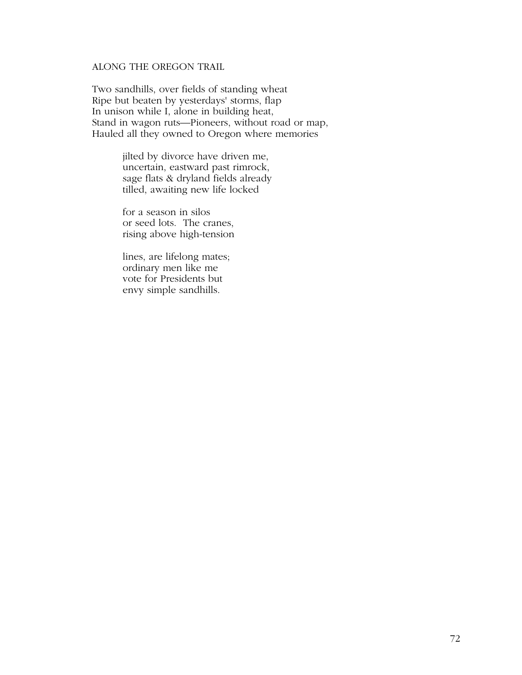# ALONG THE OREGON TRAIL

Two sandhills, over fields of standing wheat Ripe but beaten by yesterdays' storms, flap In unison while I, alone in building heat, Stand in wagon ruts—Pioneers, without road or map, Hauled all they owned to Oregon where memories

> jilted by divorce have driven me, uncertain, eastward past rimrock, sage flats & dryland fields already tilled, awaiting new life locked

 for a season in silos or seed lots. The cranes, rising above high-tension

 lines, are lifelong mates; ordinary men like me vote for Presidents but envy simple sandhills.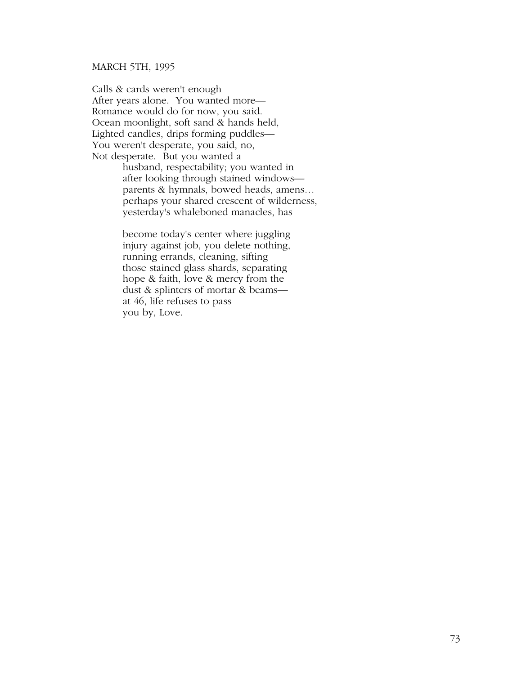#### MARCH 5TH, 1995

Calls & cards weren't enough After years alone. You wanted more— Romance would do for now, you said. Ocean moonlight, soft sand & hands held, Lighted candles, drips forming puddles— You weren't desperate, you said, no, Not desperate. But you wanted a

 husband, respectability; you wanted in after looking through stained windows parents & hymnals, bowed heads, amens… perhaps your shared crescent of wilderness, yesterday's whaleboned manacles, has

 become today's center where juggling injury against job, you delete nothing, running errands, cleaning, sifting those stained glass shards, separating hope & faith, love & mercy from the dust & splinters of mortar & beams at 46, life refuses to pass you by, Love.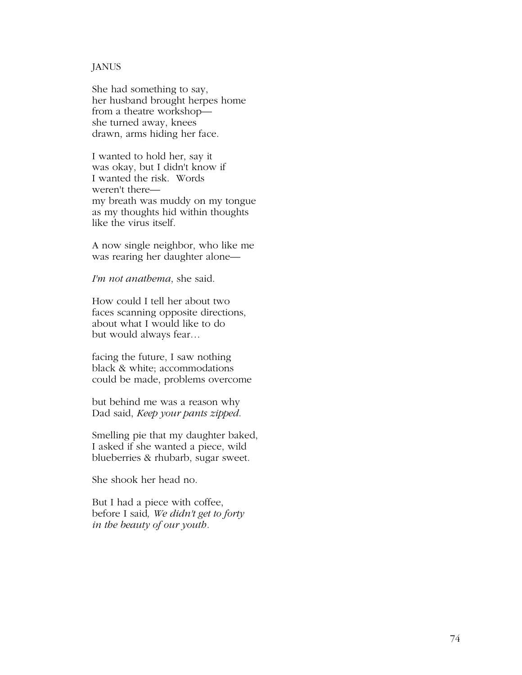#### JANUS

She had something to say, her husband brought herpes home from a theatre workshop she turned away, knees drawn, arms hiding her face.

I wanted to hold her, say it was okay, but I didn't know if I wanted the risk. Words weren't there my breath was muddy on my tongue as my thoughts hid within thoughts like the virus itself.

A now single neighbor, who like me was rearing her daughter alone—

*I'm not anathema*, she said.

How could I tell her about two faces scanning opposite directions, about what I would like to do but would always fear…

facing the future, I saw nothing black & white; accommodations could be made, problems overcome

but behind me was a reason why Dad said, *Keep your pants zipped*.

Smelling pie that my daughter baked, I asked if she wanted a piece, wild blueberries & rhubarb, sugar sweet.

She shook her head no.

But I had a piece with coffee, before I said*, We didn't get to forty in the beauty of our youth.*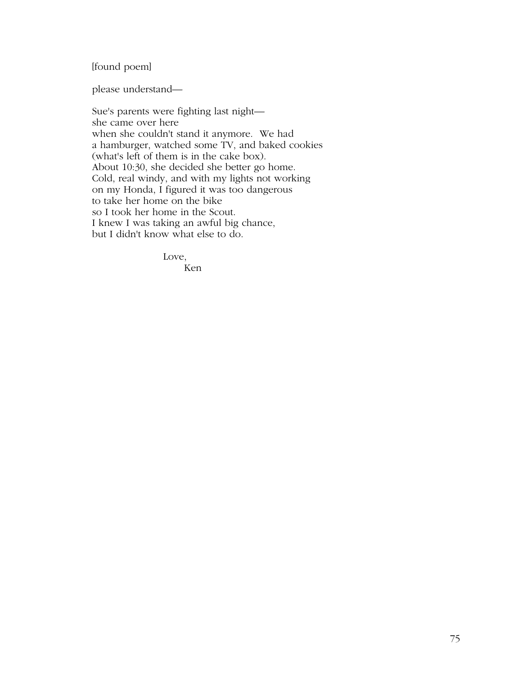# [found poem]

please understand—

Sue's parents were fighting last night she came over here when she couldn't stand it anymore. We had a hamburger, watched some TV, and baked cookies (what's left of them is in the cake box). About 10:30, she decided she better go home. Cold, real windy, and with my lights not working on my Honda, I figured it was too dangerous to take her home on the bike so I took her home in the Scout. I knew I was taking an awful big chance, but I didn't know what else to do.

Love,

Ken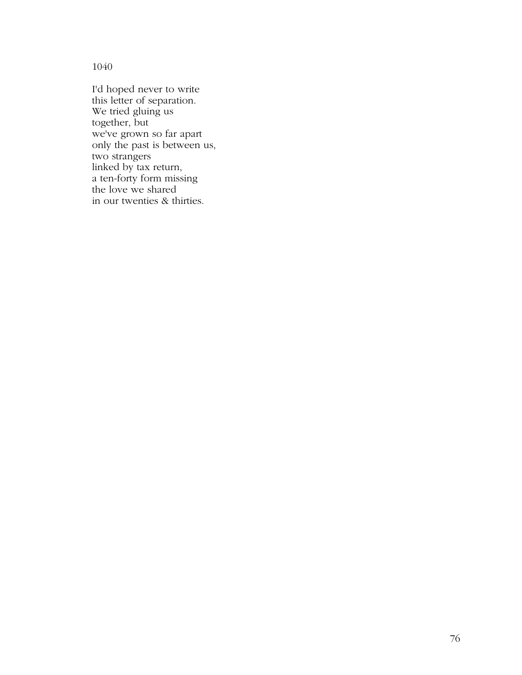1040

I'd hoped never to write this letter of separation. We tried gluing us together, but we've grown so far apart only the past is between us, two strangers linked by tax return, a ten-forty form missing the love we shared in our twenties & thirties.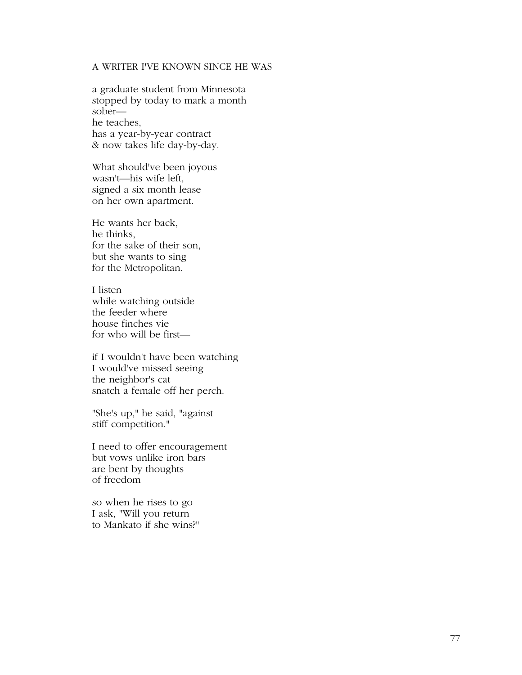# A WRITER I'VE KNOWN SINCE HE WAS

a graduate student from Minnesota stopped by today to mark a month sober he teaches, has a year-by-year contract & now takes life day-by-day.

What should've been joyous wasn't—his wife left, signed a six month lease on her own apartment.

He wants her back, he thinks, for the sake of their son, but she wants to sing for the Metropolitan.

I listen while watching outside the feeder where house finches vie for who will be first—

if I wouldn't have been watching I would've missed seeing the neighbor's cat snatch a female off her perch.

"She's up," he said, "against stiff competition."

I need to offer encouragement but vows unlike iron bars are bent by thoughts of freedom

so when he rises to go I ask, "Will you return to Mankato if she wins?"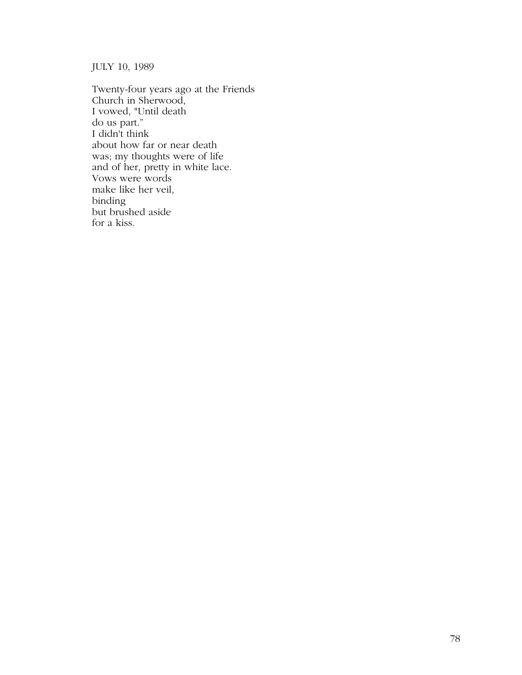JULY 10, 1989

Twenty-four years ago at the Friends Church in Sherwood, I vowed, "Until death do us part." I didn't think about how far or near death was; my thoughts were of life and of her, pretty in white lace. Vows were words make like her veil, binding but brushed aside for a kiss.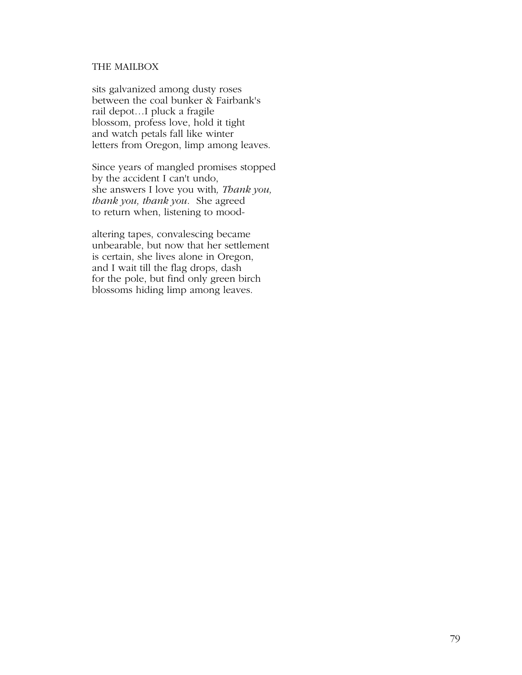# THE MAILBOX

sits galvanized among dusty roses between the coal bunker & Fairbank's rail depot…I pluck a fragile blossom, profess love, hold it tight and watch petals fall like winter letters from Oregon, limp among leaves.

Since years of mangled promises stopped by the accident I can't undo, she answers I love you with*, Thank you, thank you, thank you*. She agreed to return when, listening to mood-

altering tapes, convalescing became unbearable, but now that her settlement is certain, she lives alone in Oregon, and I wait till the flag drops, dash for the pole, but find only green birch blossoms hiding limp among leaves.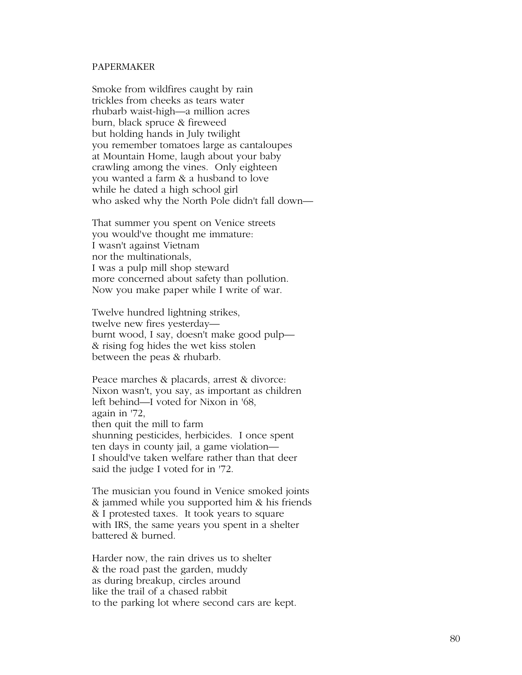#### PAPERMAKER

Smoke from wildfires caught by rain trickles from cheeks as tears water rhubarb waist-high—a million acres burn, black spruce & fireweed but holding hands in July twilight you remember tomatoes large as cantaloupes at Mountain Home, laugh about your baby crawling among the vines. Only eighteen you wanted a farm & a husband to love while he dated a high school girl who asked why the North Pole didn't fall down—

That summer you spent on Venice streets you would've thought me immature: I wasn't against Vietnam nor the multinationals, I was a pulp mill shop steward more concerned about safety than pollution. Now you make paper while I write of war.

Twelve hundred lightning strikes, twelve new fires yesterday burnt wood, I say, doesn't make good pulp— & rising fog hides the wet kiss stolen between the peas & rhubarb.

Peace marches & placards, arrest & divorce: Nixon wasn't, you say, as important as children left behind—I voted for Nixon in '68, again in '72, then quit the mill to farm shunning pesticides, herbicides. I once spent ten days in county jail, a game violation— I should've taken welfare rather than that deer said the judge I voted for in '72.

The musician you found in Venice smoked joints & jammed while you supported him & his friends & I protested taxes. It took years to square with IRS, the same years you spent in a shelter battered & burned.

Harder now, the rain drives us to shelter & the road past the garden, muddy as during breakup, circles around like the trail of a chased rabbit to the parking lot where second cars are kept.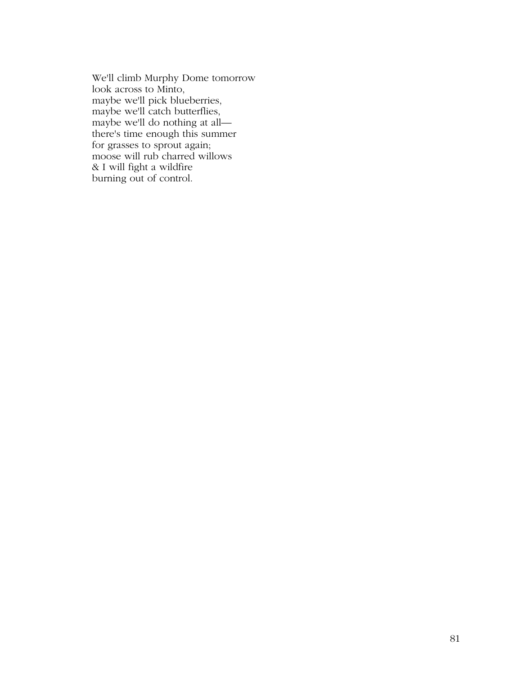We'll climb Murphy Dome tomorrow look across to Minto, maybe we'll pick blueberries, maybe we'll catch butterflies, maybe we'll do nothing at all there's time enough this summer for grasses to sprout again; moose will rub charred willows & I will fight a wildfire burning out of control.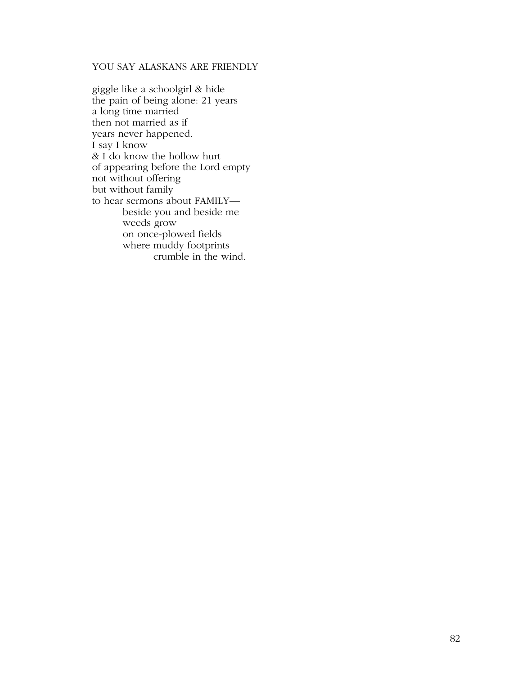# YOU SAY ALASKANS ARE FRIENDLY

giggle like a schoolgirl & hide the pain of being alone: 21 years a long time married then not married as if years never happened. I say I know & I do know the hollow hurt of appearing before the Lord empty not without offering but without family to hear sermons about FAMILY beside you and beside me weeds grow on once-plowed fields where muddy footprints crumble in the wind.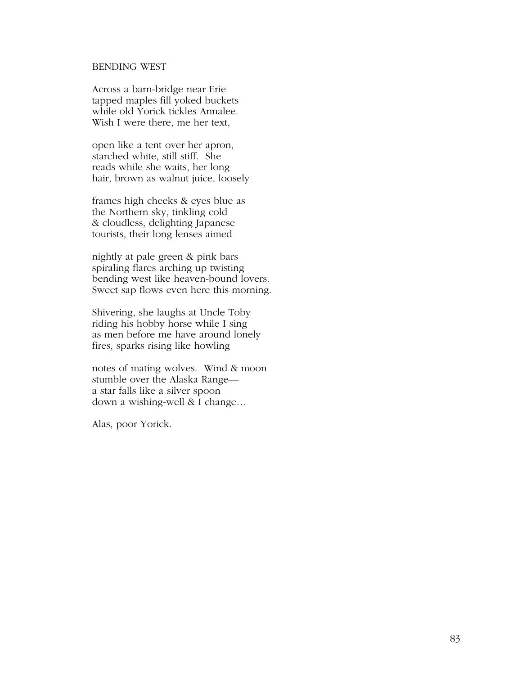#### BENDING WEST

Across a barn-bridge near Erie tapped maples fill yoked buckets while old Yorick tickles Annalee. Wish I were there, me her text,

open like a tent over her apron, starched white, still stiff. She reads while she waits, her long hair, brown as walnut juice, loosely

frames high cheeks & eyes blue as the Northern sky, tinkling cold & cloudless, delighting Japanese tourists, their long lenses aimed

nightly at pale green & pink bars spiraling flares arching up twisting bending west like heaven-bound lovers. Sweet sap flows even here this morning.

Shivering, she laughs at Uncle Toby riding his hobby horse while I sing as men before me have around lonely fires, sparks rising like howling

notes of mating wolves. Wind & moon stumble over the Alaska Range a star falls like a silver spoon down a wishing-well & I change…

Alas, poor Yorick.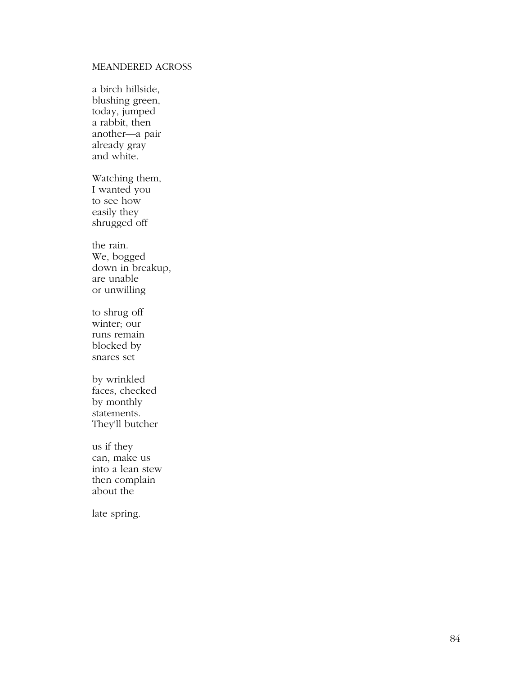# MEANDERED ACROSS

a birch hillside, blushing green, today, jumped a rabbit, then another—a pair already gray and white.

Watching them, I wanted you to see how easily they shrugged off

the rain. We, bogged down in breakup, are unable or unwilling

to shrug off winter; our runs remain blocked by snares set

by wrinkled faces, checked by monthly statements. They'll butcher

us if they can, make us into a lean stew then complain about the

late spring.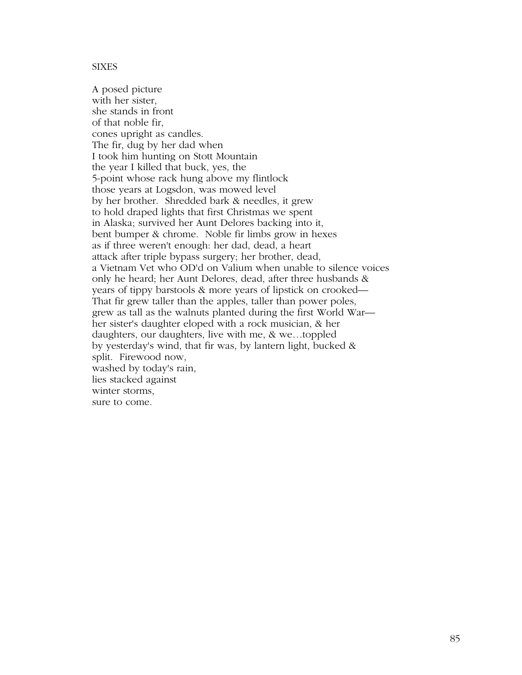#### **SIXES**

A posed picture with her sister, she stands in front of that noble fir, cones upright as candles. The fir, dug by her dad when I took him hunting on Stott Mountain the year I killed that buck, yes, the 5-point whose rack hung above my flintlock those years at Logsdon, was mowed level by her brother. Shredded bark & needles, it grew to hold draped lights that first Christmas we spent in Alaska; survived her Aunt Delores backing into it, bent bumper & chrome. Noble fir limbs grow in hexes as if three weren't enough: her dad, dead, a heart attack after triple bypass surgery; her brother, dead, a Vietnam Vet who OD'd on Valium when unable to silence voices only he heard; her Aunt Delores, dead, after three husbands & years of tippy barstools & more years of lipstick on crooked— That fir grew taller than the apples, taller than power poles, grew as tall as the walnuts planted during the first World War her sister's daughter eloped with a rock musician, & her daughters, our daughters, live with me, & we…toppled by yesterday's wind, that fir was, by lantern light, bucked & split. Firewood now, washed by today's rain, lies stacked against winter storms, sure to come.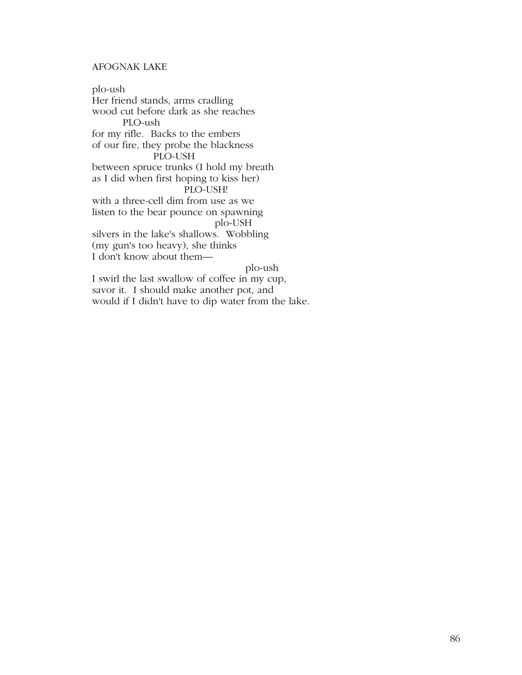# AFOGNAK LAKE

plo-ush Her friend stands, arms cradling wood cut before dark as she reaches PLO-ush for my rifle. Backs to the embers of our fire, they probe the blackness PLO-USH between spruce trunks (I hold my breath as I did when first hoping to kiss her) PLO-USH! with a three-cell dim from use as we listen to the bear pounce on spawning plo-USH silvers in the lake's shallows. Wobbling (my gun's too heavy), she thinks I don't know about them plo-ush

I swirl the last swallow of coffee in my cup, savor it. I should make another pot, and would if I didn't have to dip water from the lake.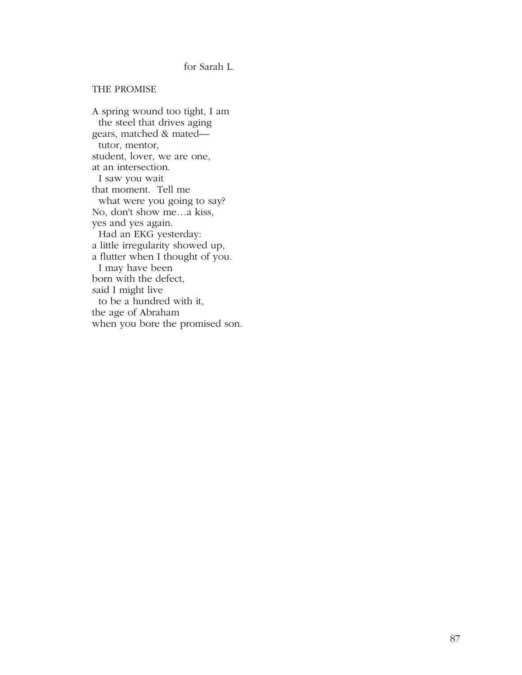## for Sarah L.

#### THE PROMISE

A spring wound too tight, I am the steel that drives aging gears, matched & mated tutor, mentor, student, lover, we are one, at an intersection. I saw you wait that moment. Tell me what were you going to say? No, don't show me…a kiss, yes and yes again. Had an EKG yesterday: a little irregularity showed up, a flutter when I thought of you. I may have been born with the defect, said I might live to be a hundred with it, the age of Abraham when you bore the promised son.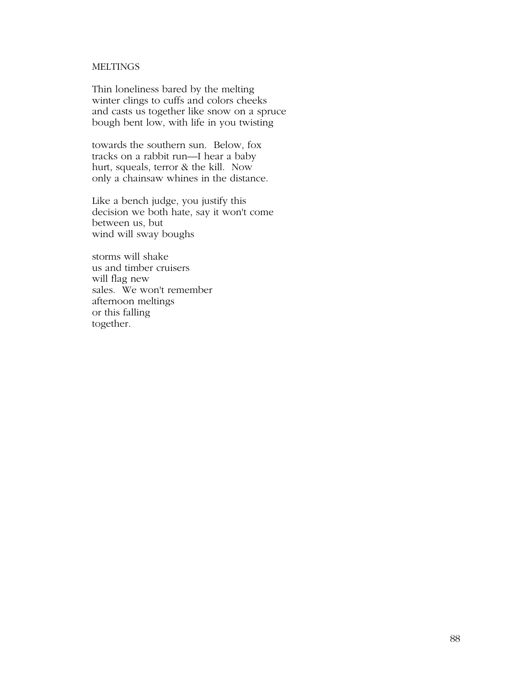# **MELTINGS**

Thin loneliness bared by the melting winter clings to cuffs and colors cheeks and casts us together like snow on a spruce bough bent low, with life in you twisting

towards the southern sun. Below, fox tracks on a rabbit run—I hear a baby hurt, squeals, terror & the kill. Now only a chainsaw whines in the distance.

Like a bench judge, you justify this decision we both hate, say it won't come between us, but wind will sway boughs

storms will shake us and timber cruisers will flag new sales. We won't remember afternoon meltings or this falling together.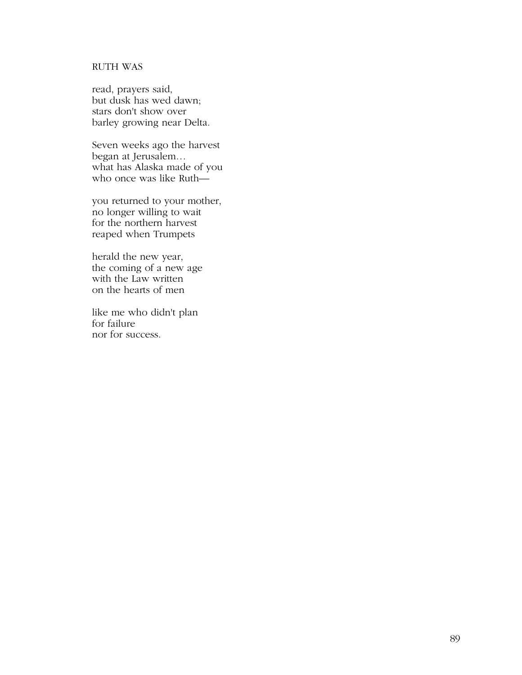# RUTH WAS

read, prayers said, but dusk has wed dawn; stars don't show over barley growing near Delta.

Seven weeks ago the harvest began at Jerusalem… what has Alaska made of you who once was like Ruth—

you returned to your mother, no longer willing to wait for the northern harvest reaped when Trumpets

herald the new year, the coming of a new age with the Law written on the hearts of men

like me who didn't plan for failure nor for success.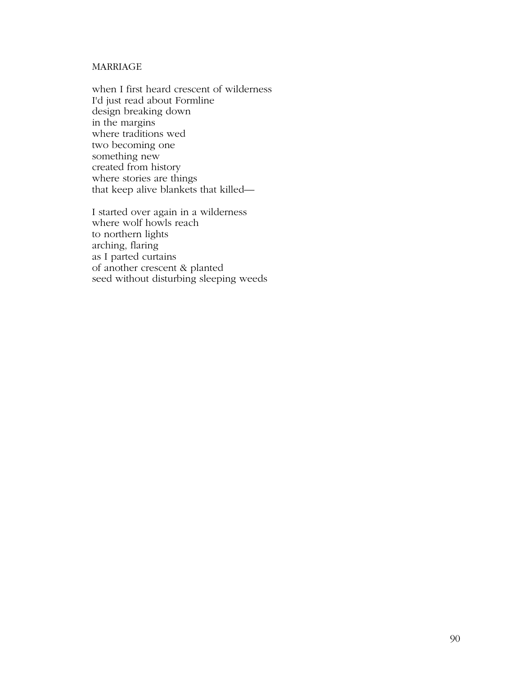# MARRIAGE

when I first heard crescent of wilderness I'd just read about Formline design breaking down in the margins where traditions wed two becoming one something new created from history where stories are things that keep alive blankets that killed—

I started over again in a wilderness where wolf howls reach to northern lights arching, flaring as I parted curtains of another crescent & planted seed without disturbing sleeping weeds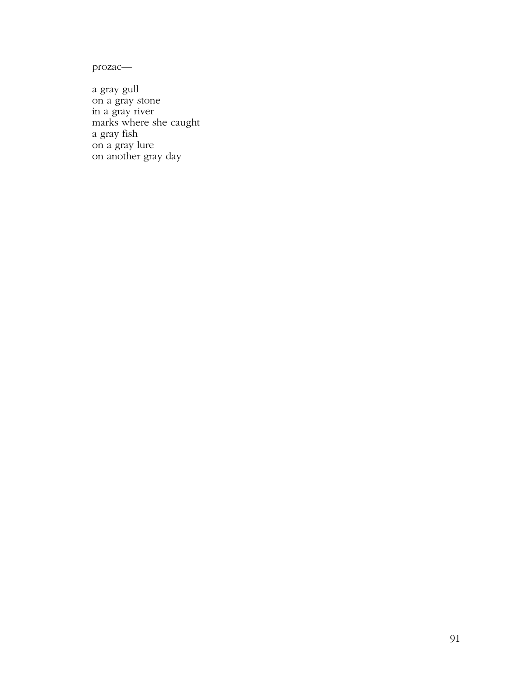prozac—

a gray gull on a gray stone in a gray river marks where she caught a gray fish on a gray lure on another gray day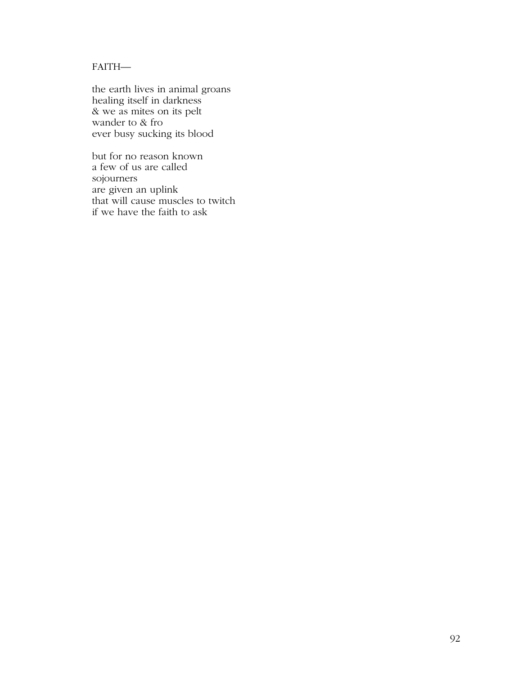# FAITH—

the earth lives in animal groans healing itself in darkness & we as mites on its pelt wander to & fro ever busy sucking its blood

but for no reason known a few of us are called sojourners are given an uplink that will cause muscles to twitch if we have the faith to ask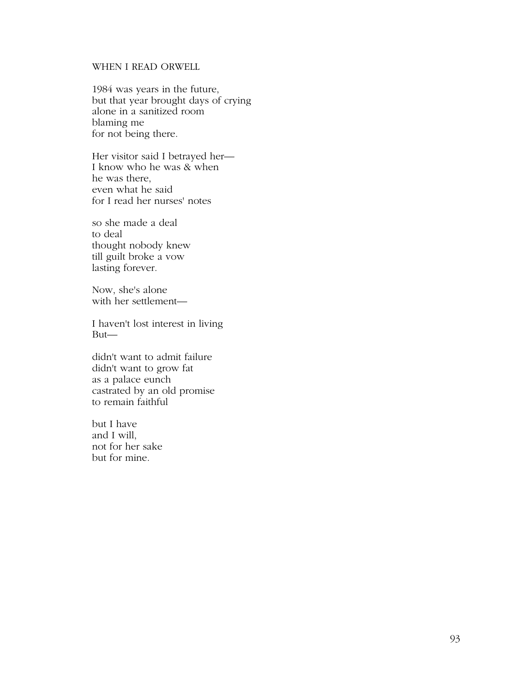# WHEN I READ ORWELL

1984 was years in the future, but that year brought days of crying alone in a sanitized room blaming me for not being there.

Her visitor said I betrayed her— I know who he was & when he was there, even what he said for I read her nurses' notes

so she made a deal to deal thought nobody knew till guilt broke a vow lasting forever.

Now, she's alone with her settlement—

I haven't lost interest in living But—

didn't want to admit failure didn't want to grow fat as a palace eunch castrated by an old promise to remain faithful

but I have and I will, not for her sake but for mine.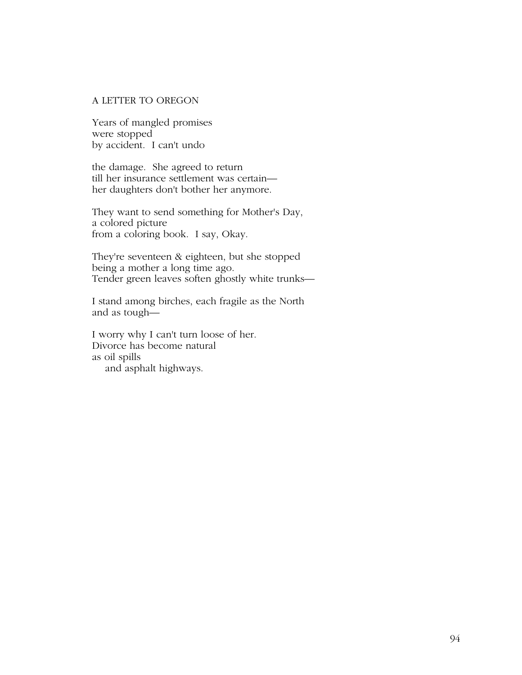#### A LETTER TO OREGON

Years of mangled promises were stopped by accident. I can't undo

the damage. She agreed to return till her insurance settlement was certain her daughters don't bother her anymore.

They want to send something for Mother's Day, a colored picture from a coloring book. I say, Okay.

They're seventeen & eighteen, but she stopped being a mother a long time ago. Tender green leaves soften ghostly white trunks—

I stand among birches, each fragile as the North and as tough—

I worry why I can't turn loose of her. Divorce has become natural as oil spills and asphalt highways.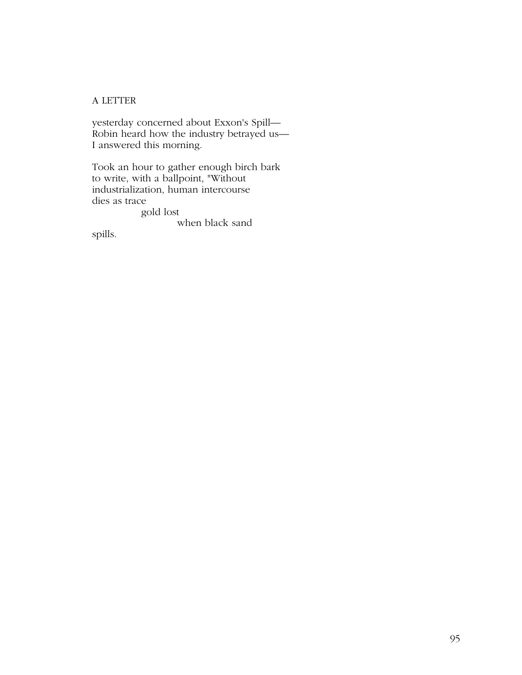# A LETTER

yesterday concerned about Exxon's Spill— Robin heard how the industry betrayed us— I answered this morning.

Took an hour to gather enough birch bark to write, with a ballpoint, "Without industrialization, human intercourse dies as trace

gold lost

when black sand

spills.